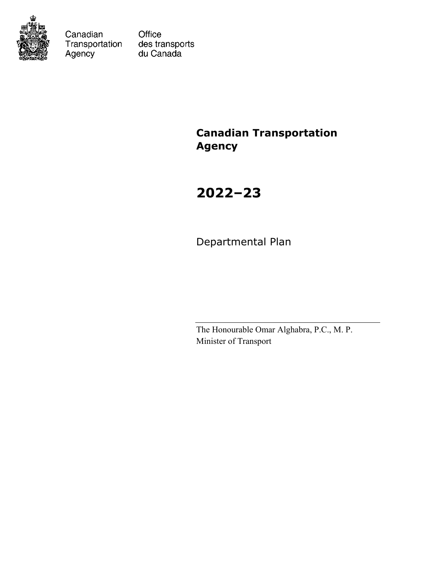

Canadian Transportation Agency

Office des transports du Canada

# **Canadian Transportation Agency**

# **2022–23**

Departmental Plan

The Honourable Omar Alghabra, P.C., M. P. Minister of Transport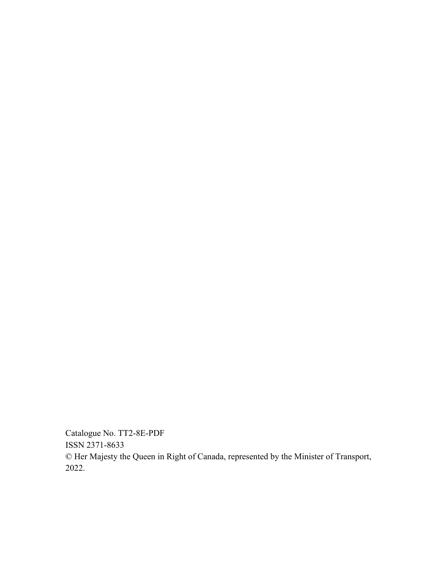Catalogue No. TT2-8E-PDF ISSN 2371-8633 © Her Majesty the Queen in Right of Canada, represented by the Minister of Transport, 2022.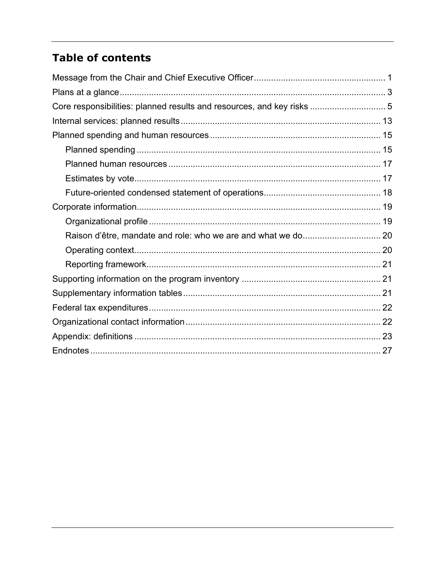# **Table of contents**

| Core responsibilities: planned results and resources, and key risks  5 |  |
|------------------------------------------------------------------------|--|
|                                                                        |  |
|                                                                        |  |
|                                                                        |  |
|                                                                        |  |
|                                                                        |  |
|                                                                        |  |
|                                                                        |  |
|                                                                        |  |
|                                                                        |  |
|                                                                        |  |
|                                                                        |  |
|                                                                        |  |
|                                                                        |  |
|                                                                        |  |
|                                                                        |  |
|                                                                        |  |
|                                                                        |  |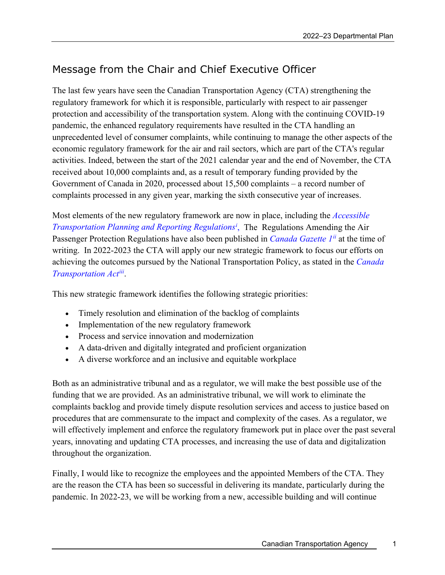# <span id="page-4-0"></span>Message from the Chair and Chief Executive Officer

The last few years have seen the Canadian Transportation Agency (CTA) strengthening the regulatory framework for which it is responsible, particularly with respect to air passenger protection and accessibility of the transportation system. Along with the continuing COVID-19 pandemic, the enhanced regulatory requirements have resulted in the CTA handling an unprecedented level of consumer complaints, while continuing to manage the other aspects of the economic regulatory framework for the air and rail sectors, which are part of the CTA's regular activities. Indeed, between the start of the 2021 calendar year and the end of November, the CTA received about 10,000 complaints and, as a result of temporary funding provided by the Government of Canada in 2020, processed about 15,500 complaints – a record number of complaints processed in any given year, marking the sixth consecutive year of increases.

Most elements of the new regulatory framework are now in place, including the *[Accessible](https://otc-cta.gc.ca/eng/accessible-transportation-planning-and-reporting-regulations)  [Transportation Planning and Reporting Regulationsi](https://otc-cta.gc.ca/eng/accessible-transportation-planning-and-reporting-regulations)* , The Regulations Amending the Air Passenger Protection Regulations have also been published in *[Canada Gazette 1](https://www.canada.ca/en/health-canada/services/drugs-health-products/medical-devices/legislation-guidelines/canada-gazette-part1.html)[ii](#page-31-1)* at the time of writing. In 2022-2023 the CTA will apply our new strategic framework to focus our efforts on achieving the outcomes pursued by the National Transportation Policy, as stated in the *[Canada](https://laws-lois.justice.gc.ca/eng/acts/c-10.4/)  [Transportation Act](https://laws-lois.justice.gc.ca/eng/acts/c-10.4/)[iii](#page-31-2)*.

This new strategic framework identifies the following strategic priorities:

- Timely resolution and elimination of the backlog of complaints
- Implementation of the new regulatory framework
- Process and service innovation and modernization
- A data-driven and digitally integrated and proficient organization
- A diverse workforce and an inclusive and equitable workplace

Both as an administrative tribunal and as a regulator, we will make the best possible use of the funding that we are provided. As an administrative tribunal, we will work to eliminate the complaints backlog and provide timely dispute resolution services and access to justice based on procedures that are commensurate to the impact and complexity of the cases. As a regulator, we will effectively implement and enforce the regulatory framework put in place over the past several years, innovating and updating CTA processes, and increasing the use of data and digitalization throughout the organization.

Finally, I would like to recognize the employees and the appointed Members of the CTA. They are the reason the CTA has been so successful in delivering its mandate, particularly during the pandemic. In 2022-23, we will be working from a new, accessible building and will continue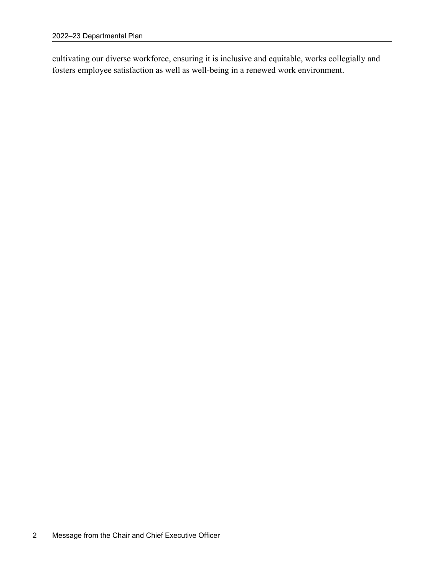cultivating our diverse workforce, ensuring it is inclusive and equitable, works collegially and fosters employee satisfaction as well as well-being in a renewed work environment.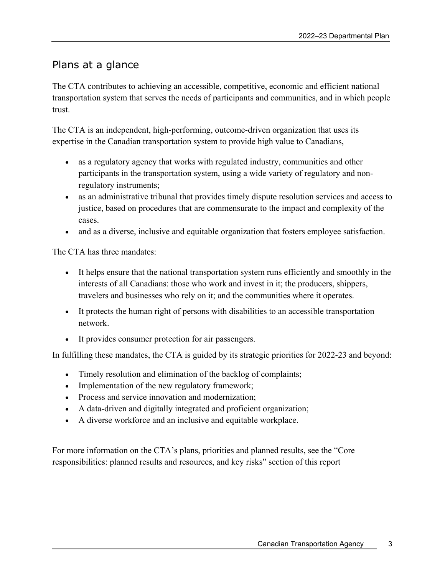# <span id="page-6-0"></span>Plans at a glance

The CTA contributes to achieving an accessible, competitive, economic and efficient national transportation system that serves the needs of participants and communities, and in which people trust.

The CTA is an independent, high-performing, outcome-driven organization that uses its expertise in the Canadian transportation system to provide high value to Canadians,

- as a regulatory agency that works with regulated industry, communities and other participants in the transportation system, using a wide variety of regulatory and nonregulatory instruments;
- as an administrative tribunal that provides timely dispute resolution services and access to justice, based on procedures that are commensurate to the impact and complexity of the cases.
- and as a diverse, inclusive and equitable organization that fosters employee satisfaction.

The CTA has three mandates:

- It helps ensure that the national transportation system runs efficiently and smoothly in the interests of all Canadians: those who work and invest in it; the producers, shippers, travelers and businesses who rely on it; and the communities where it operates.
- It protects the human right of persons with disabilities to an accessible transportation network.
- It provides consumer protection for air passengers.

In fulfilling these mandates, the CTA is guided by its strategic priorities for 2022-23 and beyond:

- Timely resolution and elimination of the backlog of complaints;
- Implementation of the new regulatory framework;
- Process and service innovation and modernization:
- A data-driven and digitally integrated and proficient organization;
- A diverse workforce and an inclusive and equitable workplace.

For more information on the CTA's plans, priorities and planned results, see the "Core responsibilities: planned results and resources, and key risks" section of this report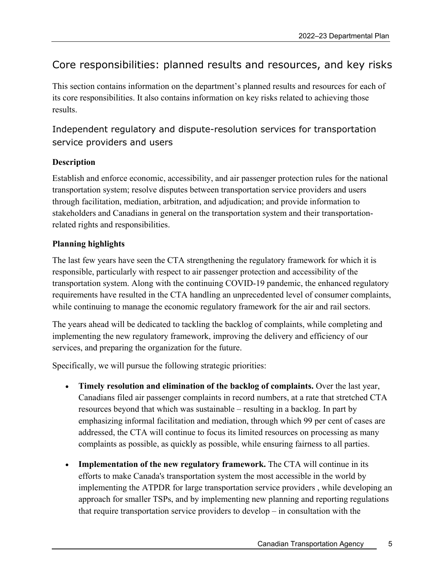# <span id="page-8-0"></span>Core responsibilities: planned results and resources, and key risks

This section contains information on the department's planned results and resources for each of its core responsibilities. It also contains information on key risks related to achieving those results.

### Independent regulatory and dispute-resolution services for transportation service providers and users

### **Description**

Establish and enforce economic, accessibility, and air passenger protection rules for the national transportation system; resolve disputes between transportation service providers and users through facilitation, mediation, arbitration, and adjudication; and provide information to stakeholders and Canadians in general on the transportation system and their transportationrelated rights and responsibilities.

### **Planning highlights**

The last few years have seen the CTA strengthening the regulatory framework for which it is responsible, particularly with respect to air passenger protection and accessibility of the transportation system. Along with the continuing COVID-19 pandemic, the enhanced regulatory requirements have resulted in the CTA handling an unprecedented level of consumer complaints, while continuing to manage the economic regulatory framework for the air and rail sectors.

The years ahead will be dedicated to tackling the backlog of complaints, while completing and implementing the new regulatory framework, improving the delivery and efficiency of our services, and preparing the organization for the future.

Specifically, we will pursue the following strategic priorities:

- **Timely resolution and elimination of the backlog of complaints.** Over the last year, Canadians filed air passenger complaints in record numbers, at a rate that stretched CTA resources beyond that which was sustainable – resulting in a backlog. In part by emphasizing informal facilitation and mediation, through which 99 per cent of cases are addressed, the CTA will continue to focus its limited resources on processing as many complaints as possible, as quickly as possible, while ensuring fairness to all parties.
- **Implementation of the new regulatory framework.** The CTA will continue in its efforts to make Canada's transportation system the most accessible in the world by implementing the ATPDR for large transportation service providers , while developing an approach for smaller TSPs, and by implementing new planning and reporting regulations that require transportation service providers to develop – in consultation with the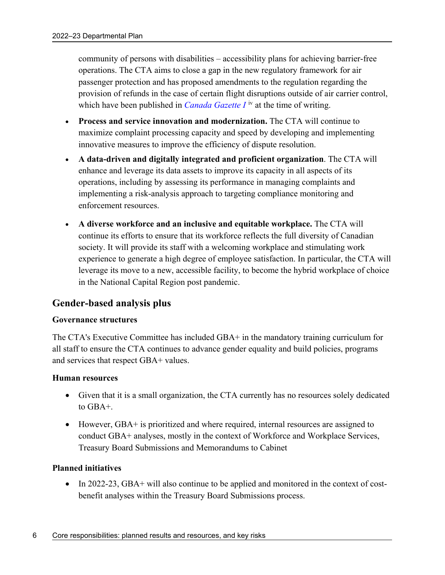community of persons with disabilities – accessibility plans for achieving barrier-free operations. The CTA aims to close a gap in the new regulatory framework for air passenger protection and has proposed amendments to the regulation regarding the provision of refunds in the case of certain flight disruptions outside of air carrier control, which have been published in *Canada Gazette I*<sup>[iv](#page-31-3)</sup> at the time of writing.

- **Process and service innovation and modernization.** The CTA will continue to maximize complaint processing capacity and speed by developing and implementing innovative measures to improve the efficiency of dispute resolution.
- **A data-driven and digitally integrated and proficient organization**. The CTA will enhance and leverage its data assets to improve its capacity in all aspects of its operations, including by assessing its performance in managing complaints and implementing a risk-analysis approach to targeting compliance monitoring and enforcement resources.
- **A diverse workforce and an inclusive and equitable workplace.** The CTA will continue its efforts to ensure that its workforce reflects the full diversity of Canadian society. It will provide its staff with a welcoming workplace and stimulating work experience to generate a high degree of employee satisfaction. In particular, the CTA will leverage its move to a new, accessible facility, to become the hybrid workplace of choice in the National Capital Region post pandemic.

### <span id="page-9-0"></span>**Gender-based analysis plus**

#### **Governance structures**

The CTA's Executive Committee has included GBA+ in the mandatory training curriculum for all staff to ensure the CTA continues to advance gender equality and build policies, programs and services that respect GBA+ values.

#### **Human resources**

- Given that it is a small organization, the CTA currently has no resources solely dedicated to GBA+.
- However, GBA+ is prioritized and where required, internal resources are assigned to conduct GBA+ analyses, mostly in the context of Workforce and Workplace Services, Treasury Board Submissions and Memorandums to Cabinet

#### **Planned initiatives**

• In 2022-23, GBA+ will also continue to be applied and monitored in the context of costbenefit analyses within the Treasury Board Submissions process.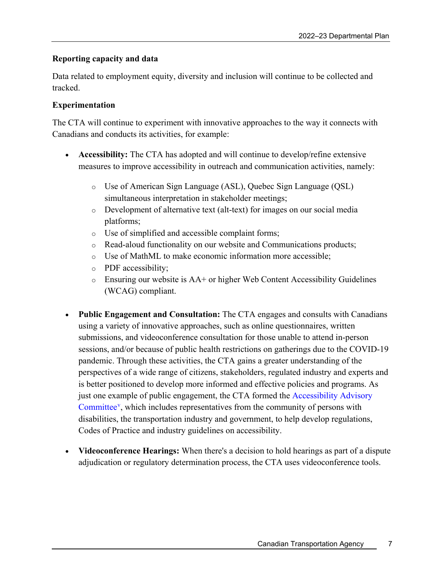### **Reporting capacity and data**

Data related to employment equity, diversity and inclusion will continue to be collected and tracked.

#### **Experimentation**

The CTA will continue to experiment with innovative approaches to the way it connects with Canadians and conducts its activities, for example:

- **Accessibility:** The CTA has adopted and will continue to develop/refine extensive measures to improve accessibility in outreach and communication activities, namely:
	- o Use of American Sign Language (ASL), Quebec Sign Language (QSL) simultaneous interpretation in stakeholder meetings;
	- o Development of alternative text (alt-text) for images on our social media platforms;
	- o Use of simplified and accessible complaint forms;
	- o Read-aloud functionality on our website and Communications products;
	- o Use of MathML to make economic information more accessible;
	- o PDF accessibility;
	- o Ensuring our website is AA+ or higher Web Content Accessibility Guidelines (WCAG) compliant.
- **Public Engagement and Consultation:** The CTA engages and consults with Canadians using a variety of innovative approaches, such as online questionnaires, written submissions, and videoconference consultation for those unable to attend in-person sessions, and/or because of public health restrictions on gatherings due to the COVID-19 pandemic. Through these activities, the CTA gains a greater understanding of the perspectives of a wide range of citizens, stakeholders, regulated industry and experts and is better positioned to develop more informed and effective policies and programs. As just one example of public engagement, the CTA formed the [Accessibility Advisory](https://otc-cta.gc.ca/eng/accessibility-advisory-committee)  [Committee](https://otc-cta.gc.ca/eng/accessibility-advisory-committee)<sup>[v](#page-31-4)</sup>, which includes representatives from the community of persons with disabilities, the transportation industry and government, to help develop regulations, Codes of Practice and industry guidelines on accessibility.
- **Videoconference Hearings:** When there's a decision to hold hearings as part of a dispute adjudication or regulatory determination process, the CTA uses videoconference tools.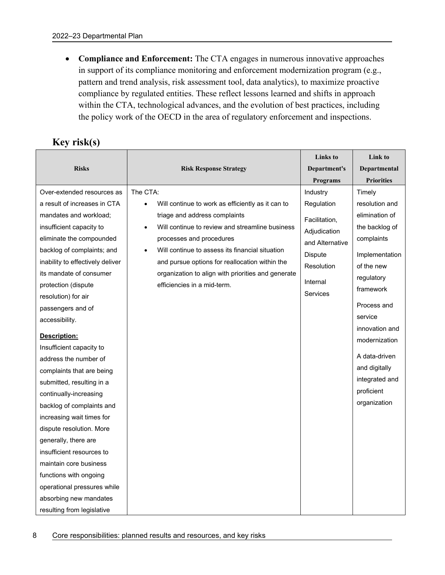• **Compliance and Enforcement:** The CTA engages in numerous innovative approaches in support of its compliance monitoring and enforcement modernization program (e.g., pattern and trend analysis, risk assessment tool, data analytics), to maximize proactive compliance by regulated entities. These reflect lessons learned and shifts in approach within the CTA, technological advances, and the evolution of best practices, including the policy work of the OECD in the area of regulatory enforcement and inspections.

| Key risk(s) |  |
|-------------|--|
|             |  |

| <b>Risks</b>                                                                                                                                                                                                                                                                                                                                                                                                                                                                                                                                                                                                                                                                                                          | <b>Risk Response Strategy</b>                                                                                                                                                                                                                                                                                                                                                        | Links to<br>Department's<br><b>Programs</b>                                                                                        | Link to<br>Departmental<br><b>Priorities</b>                                                                                                                                                                                                                                         |
|-----------------------------------------------------------------------------------------------------------------------------------------------------------------------------------------------------------------------------------------------------------------------------------------------------------------------------------------------------------------------------------------------------------------------------------------------------------------------------------------------------------------------------------------------------------------------------------------------------------------------------------------------------------------------------------------------------------------------|--------------------------------------------------------------------------------------------------------------------------------------------------------------------------------------------------------------------------------------------------------------------------------------------------------------------------------------------------------------------------------------|------------------------------------------------------------------------------------------------------------------------------------|--------------------------------------------------------------------------------------------------------------------------------------------------------------------------------------------------------------------------------------------------------------------------------------|
| Over-extended resources as<br>a result of increases in CTA<br>mandates and workload;<br>insufficient capacity to<br>eliminate the compounded<br>backlog of complaints; and<br>inability to effectively deliver<br>its mandate of consumer<br>protection (dispute<br>resolution) for air<br>passengers and of<br>accessibility.<br>Description:<br>Insufficient capacity to<br>address the number of<br>complaints that are being<br>submitted, resulting in a<br>continually-increasing<br>backlog of complaints and<br>increasing wait times for<br>dispute resolution. More<br>generally, there are<br>insufficient resources to<br>maintain core business<br>functions with ongoing<br>operational pressures while | The CTA:<br>Will continue to work as efficiently as it can to<br>$\bullet$<br>triage and address complaints<br>Will continue to review and streamline business<br>processes and procedures<br>Will continue to assess its financial situation<br>and pursue options for reallocation within the<br>organization to align with priorities and generate<br>efficiencies in a mid-term. | Industry<br>Regulation<br>Facilitation,<br>Adjudication<br>and Alternative<br>Dispute<br>Resolution<br>Internal<br><b>Services</b> | Timely<br>resolution and<br>elimination of<br>the backlog of<br>complaints<br>Implementation<br>of the new<br>regulatory<br>framework<br>Process and<br>service<br>innovation and<br>modernization<br>A data-driven<br>and digitally<br>integrated and<br>proficient<br>organization |
| absorbing new mandates<br>resulting from legislative                                                                                                                                                                                                                                                                                                                                                                                                                                                                                                                                                                                                                                                                  |                                                                                                                                                                                                                                                                                                                                                                                      |                                                                                                                                    |                                                                                                                                                                                                                                                                                      |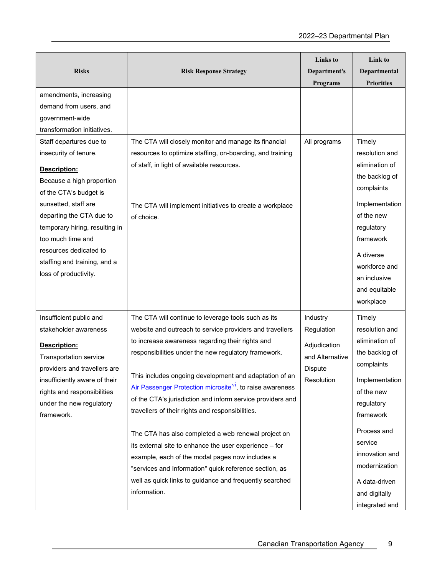| <b>Risks</b>                   | <b>Risk Response Strategy</b>                                         | <b>Links</b> to<br>Department's<br><b>Programs</b> | Link to<br>Departmental<br><b>Priorities</b> |
|--------------------------------|-----------------------------------------------------------------------|----------------------------------------------------|----------------------------------------------|
| amendments, increasing         |                                                                       |                                                    |                                              |
| demand from users, and         |                                                                       |                                                    |                                              |
| government-wide                |                                                                       |                                                    |                                              |
| transformation initiatives.    |                                                                       |                                                    |                                              |
| Staff departures due to        | The CTA will closely monitor and manage its financial                 | All programs                                       | Timely                                       |
| insecurity of tenure.          | resources to optimize staffing, on-boarding, and training             |                                                    | resolution and                               |
| Description:                   | of staff, in light of available resources.                            |                                                    | elimination of                               |
| Because a high proportion      |                                                                       |                                                    | the backlog of                               |
| of the CTA's budget is         |                                                                       |                                                    | complaints                                   |
| sunsetted, staff are           | The CTA will implement initiatives to create a workplace              |                                                    | Implementation                               |
| departing the CTA due to       | of choice.                                                            |                                                    | of the new                                   |
| temporary hiring, resulting in |                                                                       |                                                    | regulatory                                   |
| too much time and              |                                                                       |                                                    | framework                                    |
| resources dedicated to         |                                                                       |                                                    | A diverse                                    |
| staffing and training, and a   |                                                                       |                                                    | workforce and                                |
| loss of productivity.          |                                                                       |                                                    | an inclusive                                 |
|                                |                                                                       |                                                    | and equitable                                |
|                                |                                                                       |                                                    | workplace                                    |
| Insufficient public and        | The CTA will continue to leverage tools such as its                   | Industry                                           | Timely                                       |
| stakeholder awareness          | website and outreach to service providers and travellers              | Regulation                                         | resolution and                               |
| Description:                   | to increase awareness regarding their rights and                      | Adjudication                                       | elimination of                               |
| <b>Transportation service</b>  | responsibilities under the new regulatory framework.                  | and Alternative                                    | the backlog of                               |
| providers and travellers are   |                                                                       | <b>Dispute</b>                                     | complaints                                   |
| insufficiently aware of their  | This includes ongoing development and adaptation of an                | Resolution                                         | Implementation                               |
| rights and responsibilities    | Air Passenger Protection microsite <sup>V1</sup> , to raise awareness |                                                    | of the new                                   |
| under the new regulatory       | of the CTA's jurisdiction and inform service providers and            |                                                    | regulatory                                   |
| framework.                     | travellers of their rights and responsibilities.                      |                                                    | framework                                    |
|                                | The CTA has also completed a web renewal project on                   |                                                    | Process and                                  |
|                                | its external site to enhance the user experience - for                |                                                    | service                                      |
|                                | example, each of the modal pages now includes a                       |                                                    | innovation and                               |
|                                | "services and Information" quick reference section, as                |                                                    | modernization                                |
|                                | well as quick links to guidance and frequently searched               |                                                    | A data-driven                                |
|                                | information.                                                          |                                                    | and digitally                                |
|                                |                                                                       |                                                    | integrated and                               |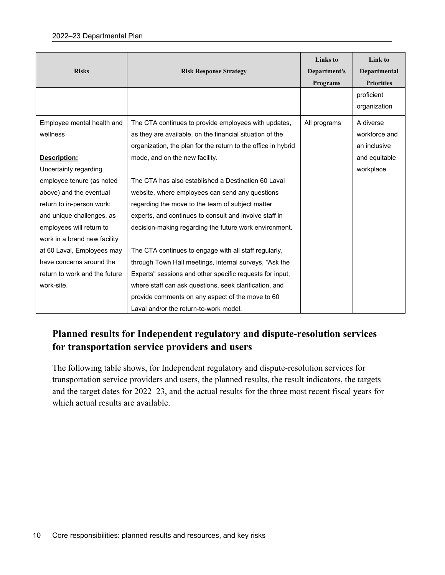#### 2022–23 Departmental Plan

| <b>Risks</b>                                                                       | <b>Risk Response Strategy</b>                                                                                                                                                     | <b>Links</b> to<br>Department's<br><b>Programs</b> | Link to<br>Departmental<br><b>Priorities</b> |
|------------------------------------------------------------------------------------|-----------------------------------------------------------------------------------------------------------------------------------------------------------------------------------|----------------------------------------------------|----------------------------------------------|
|                                                                                    |                                                                                                                                                                                   |                                                    | proficient<br>organization                   |
| Employee mental health and<br>wellness                                             | The CTA continues to provide employees with updates,<br>as they are available, on the financial situation of the<br>organization, the plan for the return to the office in hybrid | All programs                                       | A diverse<br>workforce and<br>an inclusive   |
| Description:<br>Uncertainty regarding                                              | mode, and on the new facility.                                                                                                                                                    |                                                    | and equitable<br>workplace                   |
| employee tenure (as noted<br>above) and the eventual                               | The CTA has also established a Destination 60 Laval<br>website, where employees can send any questions                                                                            |                                                    |                                              |
| return to in-person work;<br>and unique challenges, as<br>employees will return to | regarding the move to the team of subject matter<br>experts, and continues to consult and involve staff in<br>decision-making regarding the future work environment.              |                                                    |                                              |
| work in a brand new facility<br>at 60 Laval, Employees may                         | The CTA continues to engage with all staff regularly,                                                                                                                             |                                                    |                                              |
| have concerns around the<br>return to work and the future<br>work-site.            | through Town Hall meetings, internal surveys, "Ask the<br>Experts" sessions and other specific requests for input,<br>where staff can ask questions, seek clarification, and      |                                                    |                                              |
|                                                                                    | provide comments on any aspect of the move to 60<br>Laval and/or the return-to-work model.                                                                                        |                                                    |                                              |

### **Planned results for Independent regulatory and dispute-resolution services for transportation service providers and users**

The following table shows, for Independent regulatory and dispute-resolution services for transportation service providers and users, the planned results, the result indicators, the targets and the target dates for 2022–23, and the actual results for the three most recent fiscal years for which actual results are available.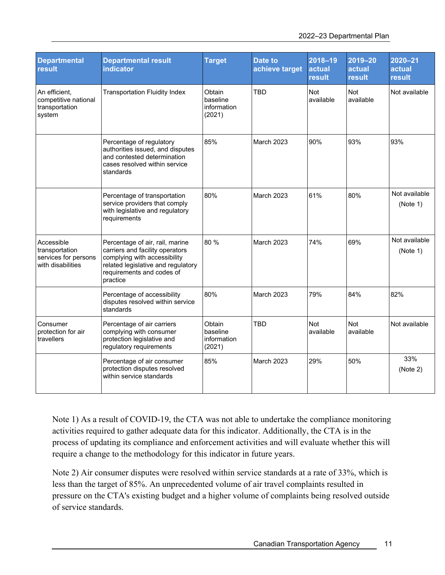| <b>Departmental</b><br><b>result</b>                                      | <b>Departmental result</b><br><b>indicator</b>                                                                                                                                    | <b>Target</b>                               | Date to<br>achieve target | 2018-19<br>actual<br><b>result</b> | 2019-20<br>actual<br><b>result</b> | $2020 - 21$<br>actual<br>result |
|---------------------------------------------------------------------------|-----------------------------------------------------------------------------------------------------------------------------------------------------------------------------------|---------------------------------------------|---------------------------|------------------------------------|------------------------------------|---------------------------------|
| An efficient.<br>competitive national<br>transportation<br>system         | <b>Transportation Fluidity Index</b>                                                                                                                                              | Obtain<br>baseline<br>information<br>(2021) | <b>TBD</b>                | <b>Not</b><br>available            | Not<br>available                   | Not available                   |
|                                                                           | Percentage of regulatory<br>authorities issued, and disputes<br>and contested determination<br>cases resolved within service<br>standards                                         | 85%                                         | <b>March 2023</b>         | 90%                                | 93%                                | 93%                             |
|                                                                           | Percentage of transportation<br>service providers that comply<br>with legislative and regulatory<br>requirements                                                                  | 80%                                         | <b>March 2023</b>         | 61%                                | 80%                                | Not available<br>(Note 1)       |
| Accessible<br>transportation<br>services for persons<br>with disabilities | Percentage of air, rail, marine<br>carriers and facility operators<br>complying with accessibility<br>related legislative and regulatory<br>requirements and codes of<br>practice | 80 %                                        | March 2023                | 74%                                | 69%                                | Not available<br>(Note 1)       |
|                                                                           | Percentage of accessibility<br>disputes resolved within service<br>standards                                                                                                      | 80%                                         | <b>March 2023</b>         | 79%                                | 84%                                | 82%                             |
| Consumer<br>protection for air<br>travellers                              | Percentage of air carriers<br>complying with consumer<br>protection legislative and<br>regulatory requirements                                                                    | Obtain<br>baseline<br>information<br>(2021) | <b>TBD</b>                | Not<br>available                   | Not<br>available                   | Not available                   |
|                                                                           | Percentage of air consumer<br>protection disputes resolved<br>within service standards                                                                                            | 85%                                         | March 2023                | 29%                                | 50%                                | 33%<br>(Note 2)                 |

Note 1) As a result of COVID-19, the CTA was not able to undertake the compliance monitoring activities required to gather adequate data for this indicator. Additionally, the CTA is in the process of updating its compliance and enforcement activities and will evaluate whether this will require a change to the methodology for this indicator in future years.

Note 2) Air consumer disputes were resolved within service standards at a rate of 33%, which is less than the target of 85%. An unprecedented volume of air travel complaints resulted in pressure on the CTA's existing budget and a higher volume of complaints being resolved outside of service standards.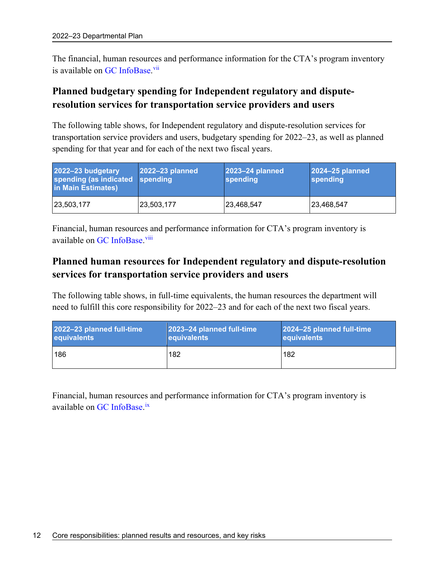The financial, human resources and performance information for the CTA's program inventory is available on [GC InfoBase.](https://www.tbs-sct.gc.ca/ems-sgd/edb-bdd/index-eng.html)<sup>[vii](#page-31-6)</sup>

### **Planned budgetary spending for Independent regulatory and disputeresolution services for transportation service providers and users**

The following table shows, for Independent regulatory and dispute-resolution services for transportation service providers and users, budgetary spending for 2022–23, as well as planned spending for that year and for each of the next two fiscal years.

| 2022-23 budgetary<br>spending (as indicated spending<br>in Main Estimates) | 2022-23 planned | 2023-24 planned<br>spending | 2024-25 planned<br>spending |
|----------------------------------------------------------------------------|-----------------|-----------------------------|-----------------------------|
| 23,503,177                                                                 | 23,503,177      | 23,468,547                  | 23,468,547                  |

Financial, human resources and performance information for CTA's program inventory is available on [GC InfoBase.](https://www.tbs-sct.gc.ca/ems-sgd/edb-bdd/index-eng.html)<sup>[viii](#page-31-7)</sup>

### **Planned human resources for Independent regulatory and dispute-resolution services for transportation service providers and users**

The following table shows, in full-time equivalents, the human resources the department will need to fulfill this core responsibility for 2022–23 and for each of the next two fiscal years.

| 2022-23 planned full-time | 2023-24 planned full-time | 2024-25 planned full-time |
|---------------------------|---------------------------|---------------------------|
| equivalents               | equivalents               | equivalents               |
| 186                       | 182                       | 182                       |

Financial, human resources and performance information for CTA's program inventory is available on [GC InfoBase.](https://www.tbs-sct.gc.ca/ems-sgd/edb-bdd/index-eng.html)<sup>[ix](#page-31-8)</sup>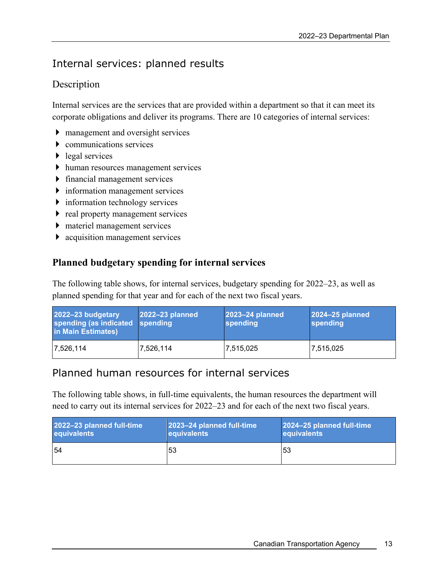# <span id="page-16-0"></span>Internal services: planned results

### Description

Internal services are the services that are provided within a department so that it can meet its corporate obligations and deliver its programs. There are 10 categories of internal services:

- management and oversight services
- communications services
- legal services
- human resources management services
- financial management services
- information management services
- information technology services
- $\triangleright$  real property management services
- materiel management services
- acquisition management services

### **Planned budgetary spending for internal services**

The following table shows, for internal services, budgetary spending for 2022–23, as well as planned spending for that year and for each of the next two fiscal years.

| 2022-23 budgetary<br>spending (as indicated<br>in Main Estimates) | 2022-23 planned<br>spending | 2023-24 planned<br>spending | 2024-25 planned<br>spending |
|-------------------------------------------------------------------|-----------------------------|-----------------------------|-----------------------------|
| 7,526,114                                                         | 7,526,114                   | 7,515,025                   | 7,515,025                   |

### Planned human resources for internal services

The following table shows, in full-time equivalents, the human resources the department will need to carry out its internal services for 2022–23 and for each of the next two fiscal years.

| 2022-23 planned full-time | 2023-24 planned full-time | 2024-25 planned full-time |
|---------------------------|---------------------------|---------------------------|
| equivalents               | equivalents               | equivalents               |
| .54                       | 53                        | 153                       |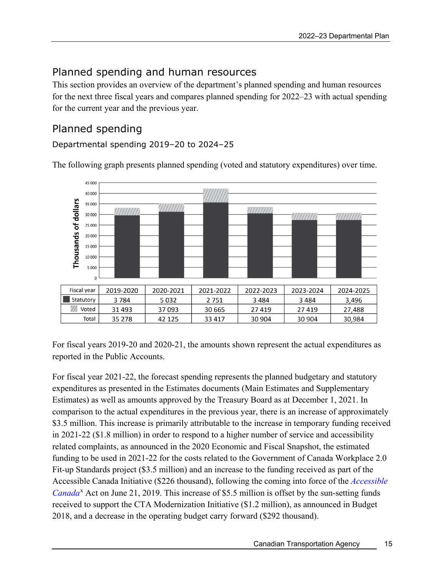# <span id="page-18-0"></span>Planned spending and human resources

This section provides an overview of the department's planned spending and human resources for the next three fiscal years and compares planned spending for 2022–23 with actual spending for the current year and the previous year.

# <span id="page-18-1"></span>Planned spending

Departmental spending 2019–20 to 2024–25

The following graph presents planned spending (voted and statutory expenditures) over time. 45,000



For fiscal years 2019-20 and 2020-21, the amounts shown represent the actual expenditures as reported in the Public Accounts.

For fiscal year 2021-22, the forecast spending represents the planned budgetary and statutory expenditures as presented in the Estimates documents (Main Estimates and Supplementary Estimates) as well as amounts approved by the Treasury Board as at December 1, 2021. In comparison to the actual expenditures in the previous year, there is an increase of approximately \$3.5 million. This increase is primarily attributable to the increase in temporary funding received in 2021-22 (\$1.8 million) in order to respond to a higher number of service and accessibility related complaints, as announced in the 2020 Economic and Fiscal Snapshot, the estimated funding to be used in 2021-22 for the costs related to the Government of Canada Workplace 2.0 Fit-up Standards project (\$3.5 million) and an increase to the funding received as part of the Accessible Canada Initiative (\$226 thousand), following the coming into force of the *[Accessible](https://laws-lois.justice.gc.ca/eng/acts/A-0.6/)*  [Canada](https://laws-lois.justice.gc.ca/eng/acts/A-0.6/)<sup>[x](#page-31-9)</sup> Act on June 21, 2019. This increase of \$5.5 million is offset by the sun-setting funds received to support the CTA Modernization Initiative (\$1.2 million), as announced in Budget 2018, and a decrease in the operating budget carry forward (\$292 thousand).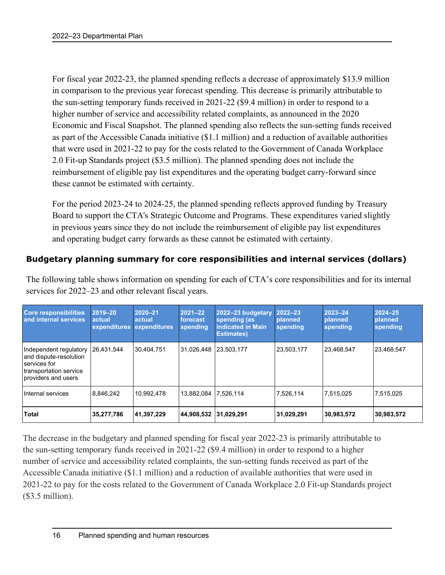For fiscal year 2022-23, the planned spending reflects a decrease of approximately \$13.9 million in comparison to the previous year forecast spending. This decrease is primarily attributable to the sun-setting temporary funds received in 2021-22 (\$9.4 million) in order to respond to a higher number of service and accessibility related complaints, as announced in the 2020 Economic and Fiscal Snapshot. The planned spending also reflects the sun-setting funds received as part of the Accessible Canada initiative (\$1.1 million) and a reduction of available authorities that were used in 2021-22 to pay for the costs related to the Government of Canada Workplace 2.0 Fit-up Standards project (\$3.5 million). The planned spending does not include the reimbursement of eligible pay list expenditures and the operating budget carry-forward since these cannot be estimated with certainty.

For the period 2023-24 to 2024-25, the planned spending reflects approved funding by Treasury Board to support the CTA's Strategic Outcome and Programs. These expenditures varied slightly in previous years since they do not include the reimbursement of eligible pay list expenditures and operating budget carry forwards as these cannot be estimated with certainty.

### **Budgetary planning summary for core responsibilities and internal services (dollars)**

| <b>Core responsibilities</b><br>and internal services                                                             | 2019-20<br><b>actual</b><br>expenditures expenditures | $ 2020 - 21$<br><b>actual</b> | $ 2021 - 22 $<br>forecast<br>spending | 2022-23 budgetary<br>spending (as<br><b>indicated in Main</b><br><b>Estimates)</b> | 2022-23<br>planned<br>spending | $2023 - 24$<br><b>planned</b><br>spending | $ 2024 - 25 $<br><b>planned</b><br>spending |
|-------------------------------------------------------------------------------------------------------------------|-------------------------------------------------------|-------------------------------|---------------------------------------|------------------------------------------------------------------------------------|--------------------------------|-------------------------------------------|---------------------------------------------|
| Independent regulatory<br>and dispute-resolution<br>services for<br>transportation service<br>providers and users | 26,431,544                                            | 30,404,751                    | 31,026,448 23,503,177                 |                                                                                    | 23,503,177                     | 23,468,547                                | 23,468,547                                  |
| Internal services                                                                                                 | 8.846.242                                             | 10,992,478                    | 13.882.084 7.526.114                  |                                                                                    | 7.526.114                      | 7,515,025                                 | 7,515,025                                   |
| Total                                                                                                             | 35,277,786                                            | 41,397,229                    | 44,908,532 31,029,291                 |                                                                                    | 31,029,291                     | 30,983,572                                | 30,983,572                                  |

The following table shows information on spending for each of CTA's core responsibilities and for its internal services for 2022–23 and other relevant fiscal years.

The decrease in the budgetary and planned spending for fiscal year 2022-23 is primarily attributable to the sun-setting temporary funds received in 2021-22 (\$9.4 million) in order to respond to a higher number of service and accessibility related complaints, the sun-setting funds received as part of the Accessible Canada initiative (\$1.1 million) and a reduction of available authorities that were used in 2021-22 to pay for the costs related to the Government of Canada Workplace 2.0 Fit-up Standards project (\$3.5 million).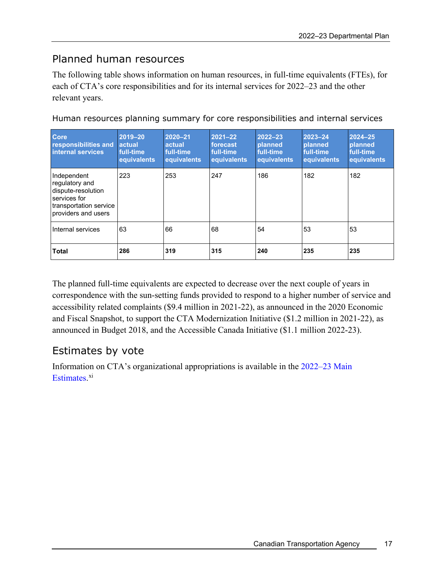# <span id="page-20-0"></span>Planned human resources

The following table shows information on human resources, in full-time equivalents (FTEs), for each of CTA's core responsibilities and for its internal services for 2022–23 and the other relevant years.

| Core<br>responsibilities and<br>internal services                                                                    | 2019-20<br><b>actual</b><br>full-time<br>equivalents | 2020-21<br>actual<br>full-time<br>equivalents | $2021 - 22$<br>forecast<br>full-time<br>equivalents | $2022 - 23$<br>planned<br>full-time<br>equivalents | $2023 - 24$<br>planned<br>full-time<br>equivalents | $2024 - 25$<br>planned<br>full-time<br>equivalents |
|----------------------------------------------------------------------------------------------------------------------|------------------------------------------------------|-----------------------------------------------|-----------------------------------------------------|----------------------------------------------------|----------------------------------------------------|----------------------------------------------------|
| Independent<br>regulatory and<br>dispute-resolution<br>services for<br>transportation service<br>providers and users | 223                                                  | 253                                           | 247                                                 | 186                                                | 182                                                | 182                                                |
| Internal services                                                                                                    | 63                                                   | 66                                            | 68                                                  | 54                                                 | 53                                                 | 53                                                 |
| <b>Total</b>                                                                                                         | 286                                                  | 319                                           | 315                                                 | 240                                                | 235                                                | 235                                                |

Human resources planning summary for core responsibilities and internal services

The planned full-time equivalents are expected to decrease over the next couple of years in correspondence with the sun-setting funds provided to respond to a higher number of service and accessibility related complaints (\$9.4 million in 2021-22), as announced in the 2020 Economic and Fiscal Snapshot, to support the CTA Modernization Initiative (\$1.2 million in 2021-22), as announced in Budget 2018, and the Accessible Canada Initiative (\$1.1 million 2022-23).

# <span id="page-20-1"></span>Estimates by vote

Information on CTA's organizational appropriations is available in the [2022–23 Main](http://www.tbs-sct.gc.ca/hgw-cgf/finances/pgs-pdg/gepme-pdgbpd/index-eng.asp)  [Estimates](http://www.tbs-sct.gc.ca/hgw-cgf/finances/pgs-pdg/gepme-pdgbpd/index-eng.asp)[.](http://www.tpsgc-pwgsc.gc.ca/recgen/cpc-pac/index-eng.html)<sup>[xi](#page-31-10)</sup>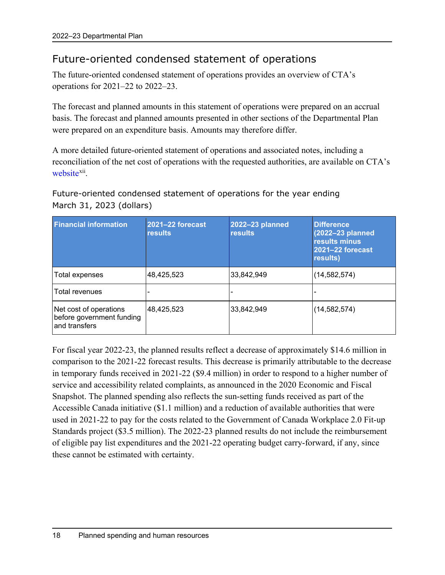# <span id="page-21-0"></span>Future-oriented condensed statement of operations

The future-oriented condensed statement of operations provides an overview of CTA's operations for 2021–22 to 2022–23.

The forecast and planned amounts in this statement of operations were prepared on an accrual basis. The forecast and planned amounts presented in other sections of the Departmental Plan were prepared on an expenditure basis. Amounts may therefore differ.

A more detailed future-oriented statement of operations and associated notes, including a reconciliation of the net cost of operations with the requested authorities, are available on CTA's [website](https://www.otc-cta.gc.ca/eng)<sup>xii</sup>.

Future-oriented condensed statement of operations for the year ending March 31, 2023 (dollars)

| <b>Financial information</b>                                         | 2021-22 forecast<br><b>results</b> | 2022-23 planned<br><b>results</b> | <b>Difference</b><br>(2022-23 planned<br>results minus<br>2021-22 forecast<br>results) |
|----------------------------------------------------------------------|------------------------------------|-----------------------------------|----------------------------------------------------------------------------------------|
| Total expenses                                                       | 48,425,523                         | 33,842,949                        | (14, 582, 574)                                                                         |
| Total revenues                                                       |                                    |                                   |                                                                                        |
| Net cost of operations<br>before government funding<br>and transfers | 48,425,523                         | 33,842,949                        | (14, 582, 574)                                                                         |

For fiscal year 2022-23, the planned results reflect a decrease of approximately \$14.6 million in comparison to the 2021-22 forecast results. This decrease is primarily attributable to the decrease in temporary funds received in 2021-22 (\$9.4 million) in order to respond to a higher number of service and accessibility related complaints, as announced in the 2020 Economic and Fiscal Snapshot. The planned spending also reflects the sun-setting funds received as part of the Accessible Canada initiative (\$1.1 million) and a reduction of available authorities that were used in 2021-22 to pay for the costs related to the Government of Canada Workplace 2.0 Fit-up Standards project (\$3.5 million). The 2022-23 planned results do not include the reimbursement of eligible pay list expenditures and the 2021-22 operating budget carry-forward, if any, since these cannot be estimated with certainty.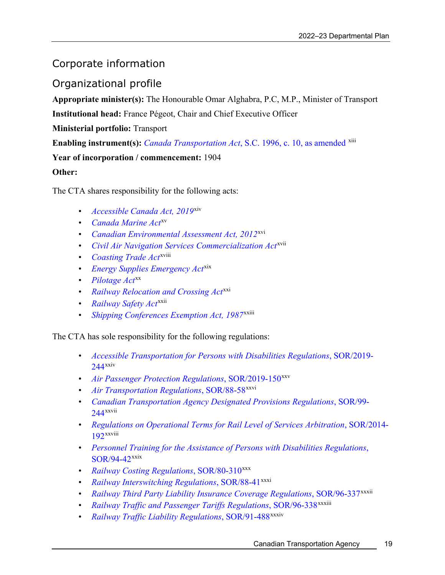# <span id="page-22-0"></span>Corporate information

<span id="page-22-1"></span>Organizational profile

**Appropriate minister(s):** The Honourable Omar Alghabra, P.C, M.P., Minister of Transport

**Institutional head:** France Pégeot, Chair and Chief Executive Officer

**Ministerial portfolio:** Transport

**Enabling instrument(s):** *Canada Transportation Act*[, S.C. 1996, c. 10, as amended](https://laws-lois.justice.gc.ca/eng/acts/C-10.4/index.html) <sup>[xiii](#page-31-12)</sup>

**Year of incorporation / commencement:** 1904

**Other:**

The CTA shares responsibility for the following acts:

- *[Accessible Canada Act, 2019](https://laws-lois.justice.gc.ca/eng/acts/A-0.6/)*[xiv](#page-31-13)
- *[Canada Marine Act](http://laws-lois.justice.gc.ca/eng/acts/C-6.7/index.html)*[xv](#page-31-14)
- *[Canadian Environmental Assessment Act, 2012](http://laws-lois.justice.gc.ca/eng/acts/c-15.21/index.html)*[xvi](#page-31-15)
- *[Civil Air Navigation Services Commercialization Act](http://laws-lois.justice.gc.ca/eng/acts/C-29.7/index.html)*[xvii](#page-31-16)
- *[Coasting Trade Act](http://laws-lois.justice.gc.ca/eng/acts/C-33.3/index.html)<sup>xv[i](#page-31-17)ii</sup>*
- *[Energy Supplies Emergency Act](http://laws.justice.gc.ca/eng/acts/E-9/index.html)*[xix](#page-31-18)
- *[Pilotage Act](http://laws.justice.gc.ca/eng/acts/P-14/index.html)*<sup>[xx](#page-31-19)</sup>
- *[Railway Relocation and Crossing Act](http://laws.justice.gc.ca/eng/acts/R-4/index.html)*[xxi](#page-31-20)
- *[Railway Safety Act](http://laws.justice.gc.ca/eng/acts/R-4.2/index.html)*[xxii](#page-31-21)
- *[Shipping Conferences Exemption Act, 1987](http://laws.justice.gc.ca/eng/acts/S-10.01/index.html)*xxii[i](#page-31-22)

The CTA has sole responsibility for the following regulations:

- *[Accessible Transportation for Persons with Disabilities Regulations](https://laws-lois.justice.gc.ca/eng/regulations/SOR-2019-244/index.html)*, SOR/2019- [244](https://laws-lois.justice.gc.ca/eng/regulations/SOR-2019-244/index.html)[xxiv](#page-31-23)
- *[Air Passenger Protection Regulations](https://laws.justice.gc.ca/eng/regulations/SOR-2019-150/index.html)*, SOR/2019-150[xxv](#page-31-24)
- *[Air Transportation Regulations](http://laws-lois.justice.gc.ca/eng/regulations/SOR-88-58/index.html)*, SOR/88-58<sup>[xxvi](#page-31-25)</sup>
- *[Canadian Transportation Agency Designated Provisions Regulations](http://laws-lois.justice.gc.ca/eng/regulations/SOR-99-244/index.html)*, SOR/99- [244](http://laws-lois.justice.gc.ca/eng/regulations/SOR-99-244/index.html)xxvi[i](#page-31-26)
- *[Regulations on Operational Terms for Rail Level of Services Arbitration](http://laws-lois.justice.gc.ca/eng/regulations/SOR-2014-192/)*, SOR/2014- [192](http://laws-lois.justice.gc.ca/eng/regulations/SOR-2014-192/)xxvii[i](#page-31-27)
- *[Personnel Training for the Assistance of Persons with Disabilities Regulations](http://laws.justice.gc.ca/eng/regulations/SOR-94-42/index.html)*, [SOR/94-42](http://laws.justice.gc.ca/eng/regulations/SOR-94-42/index.html)[xxix](#page-31-28)
- *[Railway Costing Regulations](http://laws.justice.gc.ca/eng/regulations/SOR-80-310/index.html)*, SOR/80-310[xxx](#page-31-29)
- *[Railway Interswitching Regulations](http://laws.justice.gc.ca/eng/regulations/sor-88-41/index.html)*, SOR/88-41<sup>[xxxi](#page-31-30)</sup>
- *[Railway Third Party Liability Insurance Coverage Regulations](http://laws.justice.gc.ca/eng/regulations/SOR-96-337/index.html)*, SOR/96-337<sup>xxxii</sup>
- *[Railway Traffic and Passenger Tariffs Regulations](http://laws.justice.gc.ca/eng/regulations/SOR-96-338/index.html)*, SOR/96-338<sup>xxx[i](#page-31-31)ii</sup>
- *[Railway Traffic Liability Regulations](http://laws.justice.gc.ca/eng/regulations/SOR-91-488/index.html)*, SOR/91-488<sup>xxxi[v](#page-31-32)</sup>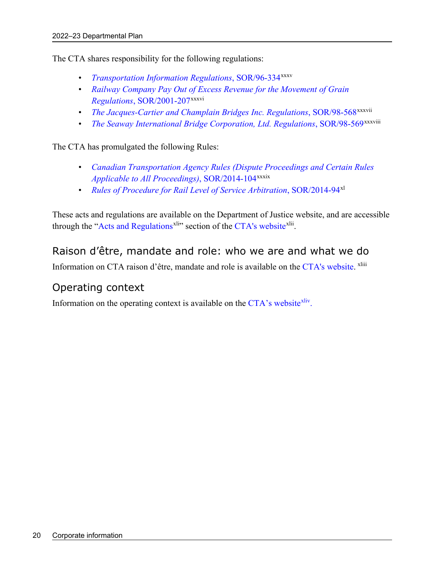The CTA shares responsibility for the following regulations:

- *[Transportation Information Regulations](https://laws.justice.gc.ca/eng/regulations/SOR-96-334/index.html)*, SOR/96-334[xxxv](#page-31-33)
- *[Railway Company Pay Out of Excess Revenue for the Movement of Grain](http://laws-lois.justice.gc.ca/eng/regulations/SOR-2001-207/?showtoc=&instrumentnumber=SOR-2001-207)  Regulations*[, SOR/2001-207](http://laws-lois.justice.gc.ca/eng/regulations/SOR-2001-207/?showtoc=&instrumentnumber=SOR-2001-207)xxxvi
- *[The Jacques-Cartier and Champlain Bridges Inc. Regulations](http://laws.justice.gc.ca/eng/regulations/SOR-98-568/index.html)*, SOR/98-568<sup>xxxv[i](#page-31-34)i</sup>
- *[The Seaway International Bridge Corporation, Ltd. Regulations](http://laws.justice.gc.ca/eng/regulations/SOR-98-569/index.html), SOR/98-569xxxviii*

The CTA has promulgated the following Rules:

- *[Canadian Transportation Agency Rules \(Dispute Proceedings and Certain Rules](http://laws-lois.justice.gc.ca/eng/regulations/SOR-2014-104/)  [Applicable to All Proceedings\)](http://laws-lois.justice.gc.ca/eng/regulations/SOR-2014-104/)*, SOR/2014-104xxxix
- *[Rules of Procedure for Rail Level of Service Arbitration](http://laws-lois.justice.gc.ca/eng/regulations/SOR-2014-94/)*, SOR/2014-94[xl](#page-31-35)

These acts and regulations are available on the Department of Justice website, and are accessible through the ["Acts and Regulations](https://www.otc-cta.gc.ca/eng/acts-and-regulations)<sup>xli</sup>" section of the [CTA's website](https://www.otc-cta.gc.ca/)<sup>xlii</sup>.

### <span id="page-23-0"></span>Raison d'être, mandate and role: who we are and what we do

Information on CTA raison d'être, mandate and role is available on the [CTA's website.](https://www.otc-cta.gc.ca/eng) <sup>xl[i](#page-31-38)ii</sup>

### <span id="page-23-1"></span>Operating context

Information on the operating context is available on the  $CTA$ 's website<sup>xliv</sup>.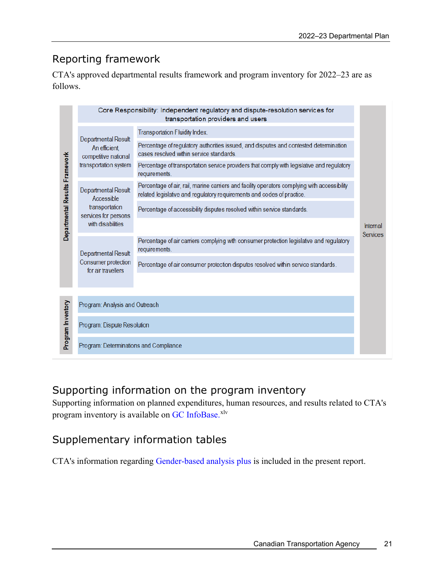# <span id="page-24-0"></span>Reporting framework

CTA's approved departmental results framework and program inventory for 2022–23 are as follows.

|                                |                                                                                                  | Core Responsibility: Independent regulatory and dispute-resolution services for<br>transportation providers and users                                                  |                             |  |
|--------------------------------|--------------------------------------------------------------------------------------------------|------------------------------------------------------------------------------------------------------------------------------------------------------------------------|-----------------------------|--|
| Departmental Results Framework | Departmental Result<br>An efficient,<br>competitive national<br>transportation system            | <b>Transportation Fluidity Index.</b>                                                                                                                                  |                             |  |
|                                |                                                                                                  | Percentage of regulatory authorities issued, and disputes and contested determination<br>cases resolved within service standards.                                      |                             |  |
|                                |                                                                                                  | Percentage of transportation service providers that comply with legislative and regulatory<br>requirements.                                                            | Internal<br><b>Services</b> |  |
|                                | Departmental Result<br>Accessible<br>transportation<br>services for persons<br>with disabilities | Percentage of air, rail, marine carriers and facility operators complying with accessibility<br>related legislative and regulatory requirements and codes of practice. |                             |  |
|                                |                                                                                                  | Percentage of accessibility disputes resolved within service standards.                                                                                                |                             |  |
|                                |                                                                                                  |                                                                                                                                                                        |                             |  |
|                                | Departmental Result<br>Consumer protection<br>for air travellers                                 | Percentage of air carriers complying with consumer protection legislative and regulatory<br>requirements.                                                              |                             |  |
|                                |                                                                                                  | Percentage of air consumer protection disputes resolved within service standards.                                                                                      |                             |  |
|                                |                                                                                                  |                                                                                                                                                                        |                             |  |
| Program Inventory              | Program: Analysis and Outreach                                                                   |                                                                                                                                                                        |                             |  |
|                                | Program: Dispute Resolution                                                                      |                                                                                                                                                                        |                             |  |
|                                | Program: Determinations and Compliance                                                           |                                                                                                                                                                        |                             |  |

# <span id="page-24-1"></span>Supporting information on the program inventory

Supporting information on planned expenditures, human resources, and results related to CTA's program inventory is available on GC [InfoBase.](https://www.tbs-sct.gc.ca/ems-sgd/edb-bdd/index-eng.html)<sup>[xlv](#page-31-40)</sup>

# <span id="page-24-2"></span>Supplementary information tables

CTA's information regarding [Gender-based analysis plus](#page-9-0) is included in the present report.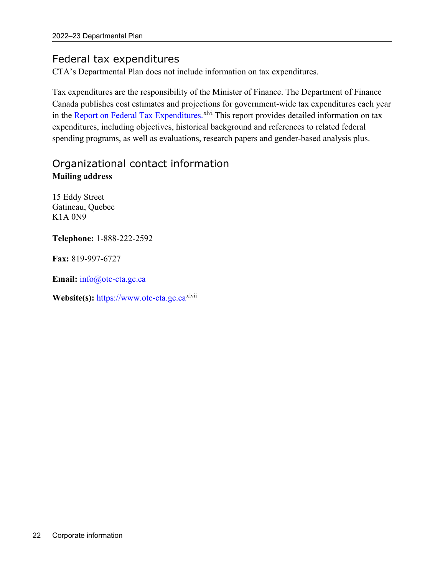# <span id="page-25-0"></span>Federal tax expenditures

CTA's Departmental Plan does not include information on tax expenditures.

Tax expenditures are the responsibility of the Minister of Finance. The Department of Finance Canada publishes cost estimates and projections for government-wide tax expenditures each year in the [Report on Federal Tax Expenditures.](https://www.canada.ca/en/department-finance/services/publications/federal-tax-expenditures.html) XIVI This report provides detailed information on tax expenditures, including objectives, historical background and references to related federal spending programs, as well as evaluations, research papers and gender-based analysis plus.

# <span id="page-25-1"></span>Organizational contact information **Mailing address**

15 Eddy Street Gatineau, Quebec K1A 0N9

**Telephone:** 1-888-222-2592

**Fax:** 819-997-6727

**Email:** info@otc-cta.gc.ca

Website(s): [https://www.otc-cta.gc.ca](https://www.otc-cta.gc.ca/eng)<sup>xlvii</sup>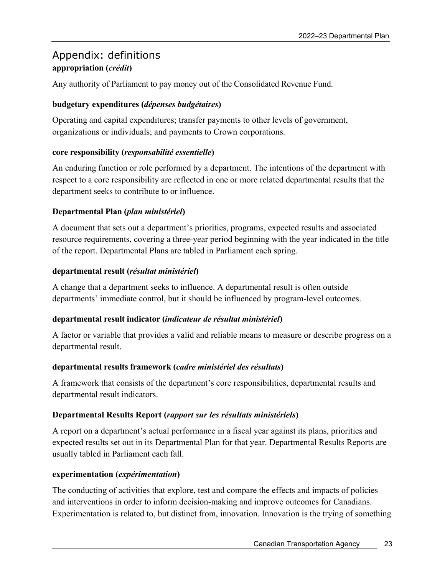# <span id="page-26-0"></span>Appendix: [d](#page-31-42)efinitions **appropriation (***crédit***)**

Any authority of Parliament to pay money out of the Consolidated Revenue Fund.

### **budgetary expenditures (***dépenses budgétaires***)**

Operating and capital expenditures; transfer payments to other levels of government, organizations or individuals; and payments to Crown corporations.

### **core responsibility (***responsabilité essentielle***)**

An enduring function or role performed by a department. The intentions of the department with respect to a core responsibility are reflected in one or more related departmental results that the department seeks to contribute to or influence.

### **Departmental Plan (***plan ministériel***)**

A document that sets out a department's priorities, programs, expected results and associated resource requirements, covering a three-year period beginning with the year indicated in the title of the report. Departmental Plans are tabled in Parliament each spring.

### **departmental result (***résultat ministériel***)**

A change that a department seeks to influence. A departmental result is often outside departments' immediate control, but it should be influenced by program-level outcomes.

### **departmental result indicator (***indicateur de résultat ministériel***)**

A factor or variable that provides a valid and reliable means to measure or describe progress on a departmental result.

### **departmental results framework (***cadre ministériel des résultats***)**

A framework that consists of the department's core responsibilities, departmental results and departmental result indicators.

### **Departmental Results Report (***rapport sur les résultats ministériels***)**

A report on a department's actual performance in a fiscal year against its plans, priorities and expected results set out in its Departmental Plan for that year. Departmental Results Reports are usually tabled in Parliament each fall.

### **experimentation (***expérimentation***)**

The conducting of activities that explore, test and compare the effects and impacts of policies and interventions in order to inform decision-making and improve outcomes for Canadians. Experimentation is related to, but distinct from, innovation. Innovation is the trying of something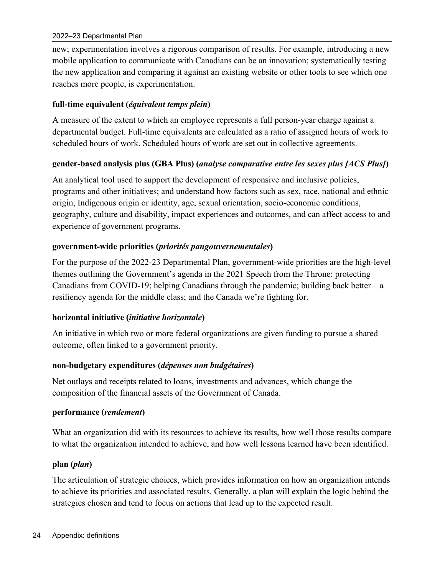new; experimentation involves a rigorous comparison of results. For example, introducing a new mobile application to communicate with Canadians can be an innovation; systematically testing the new application and comparing it against an existing website or other tools to see which one reaches more people, is experimentation.

### **full-time equivalent (***équivalent temps plein***)**

A measure of the extent to which an employee represents a full person-year charge against a departmental budget. Full-time equivalents are calculated as a ratio of assigned hours of work to scheduled hours of work. Scheduled hours of work are set out in collective agreements.

### **gender-based analysis plus (GBA Plus) (***analyse comparative entre les sexes plus [ACS Plus]***)**

An analytical tool used to support the development of responsive and inclusive policies, programs and other initiatives; and understand how factors such as sex, race, national and ethnic origin, Indigenous origin or identity, age, sexual orientation, socio-economic conditions, geography, culture and disability, impact experiences and outcomes, and can affect access to and experience of government programs.

### **government-wide priorities (***priorités pangouvernementales***)**

For the purpose of the 2022-23 Departmental Plan, government-wide priorities are the high-level themes outlining the Government's agenda in the 2021 Speech from the Throne: protecting Canadians from COVID-19; helping Canadians through the pandemic; building back better  $-a$ resiliency agenda for the middle class; and the Canada we're fighting for.

#### **horizontal initiative (***initiative horizontale***)**

An initiative in which two or more federal organizations are given funding to pursue a shared outcome, often linked to a government priority.

#### **non-budgetary expenditures (***dépenses non budgétaires***)**

Net outlays and receipts related to loans, investments and advances, which change the composition of the financial assets of the Government of Canada.

#### **performance (***rendement***)**

What an organization did with its resources to achieve its results, how well those results compare to what the organization intended to achieve, and how well lessons learned have been identified.

### **plan (***plan***)**

The articulation of strategic choices, which provides information on how an organization intends to achieve its priorities and associated results. Generally, a plan will explain the logic behind the strategies chosen and tend to focus on actions that lead up to the expected result.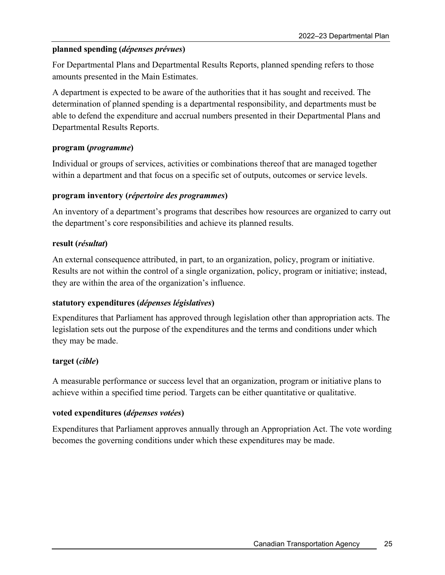#### **planned spending (***dépenses prévues***)**

For Departmental Plans and Departmental Results Reports, planned spending refers to those amounts presented in the Main Estimates.

A department is expected to be aware of the authorities that it has sought and received. The determination of planned spending is a departmental responsibility, and departments must be able to defend the expenditure and accrual numbers presented in their Departmental Plans and Departmental Results Reports.

#### **program (***programme***)**

Individual or groups of services, activities or combinations thereof that are managed together within a department and that focus on a specific set of outputs, outcomes or service levels.

#### **program inventory (***répertoire des programmes***)**

An inventory of a department's programs that describes how resources are organized to carry out the department's core responsibilities and achieve its planned results.

#### **result (***résultat***)**

An external consequence attributed, in part, to an organization, policy, program or initiative. Results are not within the control of a single organization, policy, program or initiative; instead, they are within the area of the organization's influence.

#### **statutory expenditures (***dépenses législatives***)**

Expenditures that Parliament has approved through legislation other than appropriation acts. The legislation sets out the purpose of the expenditures and the terms and conditions under which they may be made.

#### **target (***cible***)**

A measurable performance or success level that an organization, program or initiative plans to achieve within a specified time period. Targets can be either quantitative or qualitative.

#### **voted expenditures (***dépenses votées***)**

Expenditures that Parliament approves annually through an Appropriation Act. The vote wording becomes the governing conditions under which these expenditures may be made.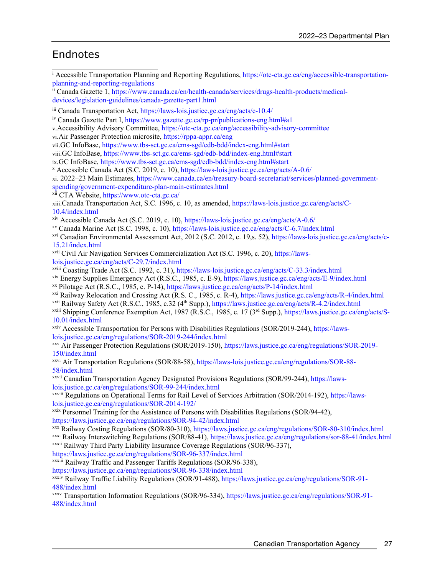# <span id="page-30-0"></span>Endnotes

<sup>i</sup> Accessible Transportation Planning and Reporting Regulations, [https://otc-cta.gc.ca/eng/accessible-transportation](https://otc-cta.gc.ca/eng/accessible-transportation-planning-and-reporting-regulations)[planning-and-reporting-regulations](https://otc-cta.gc.ca/eng/accessible-transportation-planning-and-reporting-regulations)

ii Canada Gazette 1[, https://www.canada.ca/en/health-canada/services/drugs-health-products/medical](https://www.canada.ca/en/health-canada/services/drugs-health-products/medical-devices/legislation-guidelines/canada-gazette-part1.html)[devices/legislation-guidelines/canada-gazette-part1.html](https://www.canada.ca/en/health-canada/services/drugs-health-products/medical-devices/legislation-guidelines/canada-gazette-part1.html)

iii Canada Transportation Act,<https://laws-lois.justice.gc.ca/eng/acts/c-10.4/>

iv Canada Gazette Part I, [https://www.gazette.gc.ca/rp-pr/publications-eng.html#a1](https://www.gazette.gc.ca/rp-pr/publications-eng.html%23a1)

v.Accessibility Advisory Committee,<https://otc-cta.gc.ca/eng/accessibility-advisory-committee>

vi.Air Passenger Protection microsite,<https://rppa-appr.ca/eng>

vii.GC InfoBase,<https://www.tbs-sct.gc.ca/ems-sgd/edb-bdd/index-eng.html#start>

viii.GC InfoBase[, https://www.tbs-sct.gc.ca/ems-sgd/edb-bdd/index-eng.html#start](https://www.tbs-sct.gc.ca/ems-sgd/edb-bdd/index-eng.html#start)

ix.GC InfoBase,<https://www.tbs-sct.gc.ca/ems-sgd/edb-bdd/index-eng.html#start>

<sup>x</sup> Accessible Canada Act (S.C. 2019, c. 10), <https://laws-lois.justice.gc.ca/eng/acts/A-0.6/>

xi. 2022–23 Main Estimates, [https://www.canada.ca/en/treasury-board-secretariat/services/planned-government](https://www.canada.ca/en/treasury-board-secretariat/services/planned-government-spending/government-expenditure-plan-main-estimates.html)[spending/government-expenditure-plan-main-estimates.html](https://www.canada.ca/en/treasury-board-secretariat/services/planned-government-spending/government-expenditure-plan-main-estimates.html)

xii CTA Website[, https://www.otc-cta.gc.ca/](https://www.otc-cta.gc.ca/)

xiii.Canada Transportation Act, S.C. 1996, c. 10, as amended[, https://laws-lois.justice.gc.ca/eng/acts/C-](https://laws-lois.justice.gc.ca/eng/acts/C-10.4/index.html)[10.4/index.html](https://laws-lois.justice.gc.ca/eng/acts/C-10.4/index.html)

xiv Accessible Canada Act (S.C. 2019, c. 10), <https://laws-lois.justice.gc.ca/eng/acts/A-0.6/>

xv Canada Marine Act (S.C. 1998, c. 10)[, https://laws-lois.justice.gc.ca/eng/acts/C-6.7/index.html](https://laws-lois.justice.gc.ca/eng/acts/C-6.7/index.html)

xvi Canadian Environmental Assessment Act, 2012 (S.C. 2012, c. 19,s. 52), [https://laws-lois.justice.gc.ca/eng/acts/c-](https://laws-lois.justice.gc.ca/eng/acts/c-15.21/index.html)[15.21/index.html](https://laws-lois.justice.gc.ca/eng/acts/c-15.21/index.html)

xvii Civil Air Navigation Services Commercialization Act (S.C. 1996, c. 20), [https://laws](https://laws-lois.justice.gc.ca/eng/acts/C-29.7/index.html)[lois.justice.gc.ca/eng/acts/C-29.7/index.html](https://laws-lois.justice.gc.ca/eng/acts/C-29.7/index.html)

xviii Coasting Trade Act (S.C. 1992, c. 31),<https://laws-lois.justice.gc.ca/eng/acts/C-33.3/index.html>

xix Energy Supplies Emergency Act (R.S.C., 1985, c. E-9),<https://laws.justice.gc.ca/eng/acts/E-9/index.html>

xx Pilotage Act (R.S.C., 1985, c. P-14)[, https://laws.justice.gc.ca/eng/acts/P-14/index.html](https://laws.justice.gc.ca/eng/acts/P-14/index.html)

xxi Railway Relocation and Crossing Act (R.S. C., 1985, c. R-4),<https://laws.justice.gc.ca/eng/acts/R-4/index.html>

xxii Railway Safety Act (R.S.C., 1985, c.32 (4th Supp.),<https://laws.justice.gc.ca/eng/acts/R-4.2/index.html>

xxiii Shipping Conference Exemption Act, 1987 (R.S.C., 1985, c. 17 (3rd Supp.), [https://laws.justice.gc.ca/eng/acts/S-](https://laws.justice.gc.ca/eng/acts/S-10.01/index.html)[10.01/index.html](https://laws.justice.gc.ca/eng/acts/S-10.01/index.html)

xxiv Accessible Transportation for Persons with Disabilities Regulations (SOR/2019-244), [https://laws](https://laws-lois.justice.gc.ca/eng/regulations/SOR-2019-244/index.html)[lois.justice.gc.ca/eng/regulations/SOR-2019-244/index.html](https://laws-lois.justice.gc.ca/eng/regulations/SOR-2019-244/index.html)

xxv Air Passenger Protection Regulations (SOR/2019-150)[, https://laws.justice.gc.ca/eng/regulations/SOR-2019-](https://laws.justice.gc.ca/eng/regulations/SOR-2019-150/index.html) [150/index.html](https://laws.justice.gc.ca/eng/regulations/SOR-2019-150/index.html)

xxvi Air Transportation Regulations (SOR/88-58), [https://laws-lois.justice.gc.ca/eng/regulations/SOR-88-](https://laws-lois.justice.gc.ca/eng/regulations/SOR-88-58/index.html) [58/index.html](https://laws-lois.justice.gc.ca/eng/regulations/SOR-88-58/index.html)

xxvii Canadian Transportation Agency Designated Provisions Regulations (SOR/99-244), [https://laws](https://laws-lois.justice.gc.ca/eng/regulations/SOR-99-244/index.html)[lois.justice.gc.ca/eng/regulations/SOR-99-244/index.html](https://laws-lois.justice.gc.ca/eng/regulations/SOR-99-244/index.html)

xxviii Regulations on Operational Terms for Rail Level of Services Arbitration (SOR/2014-192), [https://laws](https://laws-lois.justice.gc.ca/eng/regulations/SOR-2014-192/)[lois.justice.gc.ca/eng/regulations/SOR-2014-192/](https://laws-lois.justice.gc.ca/eng/regulations/SOR-2014-192/)

xxix Personnel Training for the Assistance of Persons with Disabilities Regulations (SOR/94-42), <https://laws.justice.gc.ca/eng/regulations/SOR-94-42/index.html>

xxx Railway Costing Regulations (SOR/80-310), <https://laws.justice.gc.ca/eng/regulations/SOR-80-310/index.html>

xxxi Railway Interswitching Regulations (SOR/88-41)[, https://laws.justice.gc.ca/eng/regulations/sor-88-41/index.html](https://laws.justice.gc.ca/eng/regulations/sor-88-41/index.html) xxxii Railway Third Party Liability Insurance Coverage Regulations (SOR/96-337),

<https://laws.justice.gc.ca/eng/regulations/SOR-96-337/index.html>

xxxiii Railway Traffic and Passenger Tariffs Regulations (SOR/96-338),

<https://laws.justice.gc.ca/eng/regulations/SOR-96-338/index.html>

xxxiv Railway Traffic Liability Regulations (SOR/91-488), [https://laws.justice.gc.ca/eng/regulations/SOR-91-](https://laws.justice.gc.ca/eng/regulations/SOR-91-488/index.html) [488/index.html](https://laws.justice.gc.ca/eng/regulations/SOR-91-488/index.html)

xxxv Transportation Information Regulations (SOR/96-334)[, https://laws.justice.gc.ca/eng/regulations/SOR-91-](https://laws.justice.gc.ca/eng/regulations/SOR-91-488/index.html) [488/index.html](https://laws.justice.gc.ca/eng/regulations/SOR-91-488/index.html)